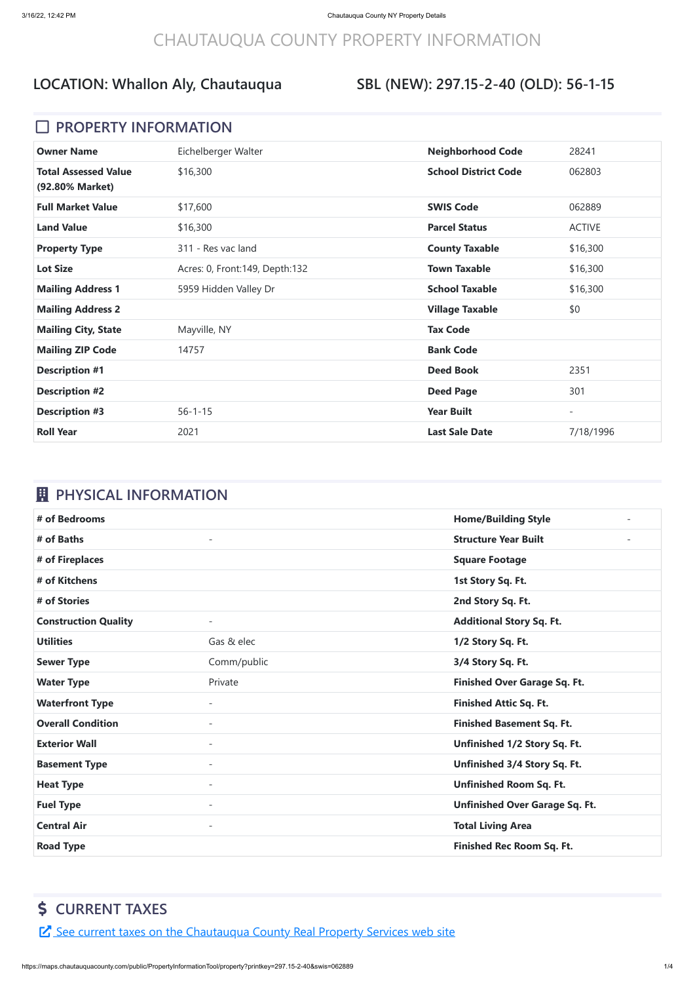# CHAUTAUQUA COUNTY PROPERTY INFORMATION

#### **SBL (NEW): 297.15-2-40 (OLD): 56-1-15**

#### **D** PROPERTY INFORMATION

| <b>Owner Name</b>                              | Eichelberger Walter              | <b>Neighborhood Code</b>    | 28241                    |
|------------------------------------------------|----------------------------------|-----------------------------|--------------------------|
| <b>Total Assessed Value</b><br>(92.80% Market) | \$16,300                         | <b>School District Code</b> | 062803                   |
| <b>Full Market Value</b>                       | \$17,600                         | <b>SWIS Code</b>            | 062889                   |
| <b>Land Value</b>                              | \$16,300                         | <b>Parcel Status</b>        | <b>ACTIVE</b>            |
| <b>Property Type</b>                           | 311 - Res vac land               | <b>County Taxable</b>       | \$16,300                 |
| <b>Lot Size</b>                                | Acres: 0, Front: 149, Depth: 132 | <b>Town Taxable</b>         | \$16,300                 |
| <b>Mailing Address 1</b>                       | 5959 Hidden Valley Dr            | <b>School Taxable</b>       | \$16,300                 |
| <b>Mailing Address 2</b>                       |                                  | <b>Village Taxable</b>      | \$0                      |
| <b>Mailing City, State</b>                     | Mayville, NY                     | <b>Tax Code</b>             |                          |
| <b>Mailing ZIP Code</b>                        | 14757                            | <b>Bank Code</b>            |                          |
| <b>Description #1</b>                          |                                  | <b>Deed Book</b>            | 2351                     |
| <b>Description #2</b>                          |                                  | <b>Deed Page</b>            | 301                      |
| <b>Description #3</b>                          | $56 - 1 - 15$                    | <b>Year Built</b>           | $\overline{\phantom{a}}$ |
| <b>Roll Year</b>                               | 2021                             | <b>Last Sale Date</b>       | 7/18/1996                |

## *EL* PHYSICAL INFORMATION

| # of Bedrooms               |                          | <b>Home/Building Style</b><br>$\sim$  |
|-----------------------------|--------------------------|---------------------------------------|
| # of Baths                  | $\blacksquare$           | <b>Structure Year Built</b>           |
| # of Fireplaces             |                          | <b>Square Footage</b>                 |
| # of Kitchens               |                          | 1st Story Sq. Ft.                     |
| # of Stories                |                          | 2nd Story Sq. Ft.                     |
| <b>Construction Quality</b> |                          | <b>Additional Story Sq. Ft.</b>       |
| <b>Utilities</b>            | Gas & elec               | 1/2 Story Sq. Ft.                     |
| <b>Sewer Type</b>           | Comm/public              | 3/4 Story Sq. Ft.                     |
| <b>Water Type</b>           | Private                  | <b>Finished Over Garage Sq. Ft.</b>   |
| <b>Waterfront Type</b>      |                          | <b>Finished Attic Sq. Ft.</b>         |
| <b>Overall Condition</b>    | $\overline{\phantom{0}}$ | <b>Finished Basement Sq. Ft.</b>      |
| <b>Exterior Wall</b>        | $\overline{\phantom{a}}$ | Unfinished 1/2 Story Sq. Ft.          |
| <b>Basement Type</b>        | $\overline{\phantom{0}}$ | Unfinished 3/4 Story Sq. Ft.          |
| <b>Heat Type</b>            |                          | <b>Unfinished Room Sq. Ft.</b>        |
| <b>Fuel Type</b>            | $\overline{\phantom{0}}$ | <b>Unfinished Over Garage Sq. Ft.</b> |
| <b>Central Air</b>          | $\overline{\phantom{a}}$ | <b>Total Living Area</b>              |
| <b>Road Type</b>            |                          | <b>Finished Rec Room Sq. Ft.</b>      |

## **CURRENT TAXES**

E See current taxes on the [Chautauqua](https://app.co.chautauqua.ny.us/cctaxonline/#/parcel/062889-297.15-2-40/current) County Real Property Services web site

https://maps.chautauquacounty.com/public/PropertyInformationTool/property?printkey=297.15-2-40&swis=062889 1/4

## **LOCATION: Whallon Aly, Chautauqua**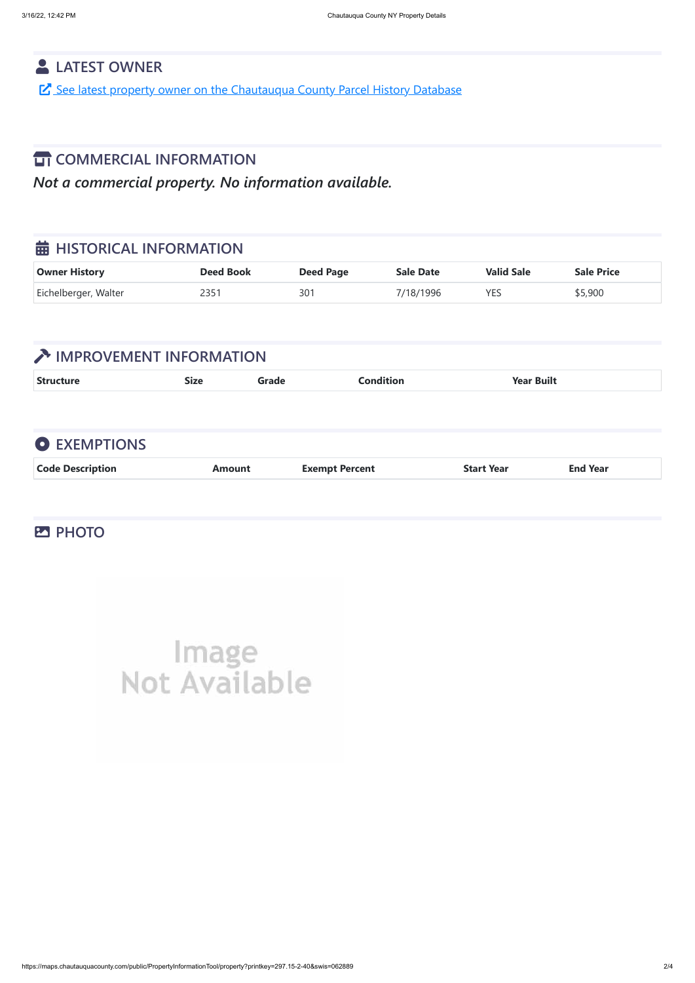

## **LATEST OWNER**

See latest property owner on the [Chautauqua](https://maps.chautauquacounty.com/Public/PHD/Default.aspx?ExternalRequest=true&phdPrintKey=297.15-2-40&phdSwiss=062889) County Parcel History Database

#### **TT COMMERCIAL INFORMATION**

*Not a commercial property. No information available.*

#### $\frac{1}{20}$  **HISTORICAL INFORMATION**

| Owner History        | <b>Deed Book</b> | <b>Deed Page</b> | <b>Sale Date</b> | <b>Valid Sale</b> | <b>Sale Price</b> |
|----------------------|------------------|------------------|------------------|-------------------|-------------------|
| Eichelberger, Walter |                  | 301              | 7/18/1996        | <b>YES</b>        | \$5,900           |

## **TEXT IMPROVEMENT INFORMATION**

| <b>Str</b><br>$\bullet$ .<br>. ام من<br>Built<br>____<br>$  -$ |
|----------------------------------------------------------------|
|----------------------------------------------------------------|

## **EXEMPTIONS**

| <b>Code Description</b><br><b>End Year</b><br><b>Exempt Percent</b><br><b>Start Year</b><br>Amount |  |
|----------------------------------------------------------------------------------------------------|--|
|----------------------------------------------------------------------------------------------------|--|

#### **PHOTO**

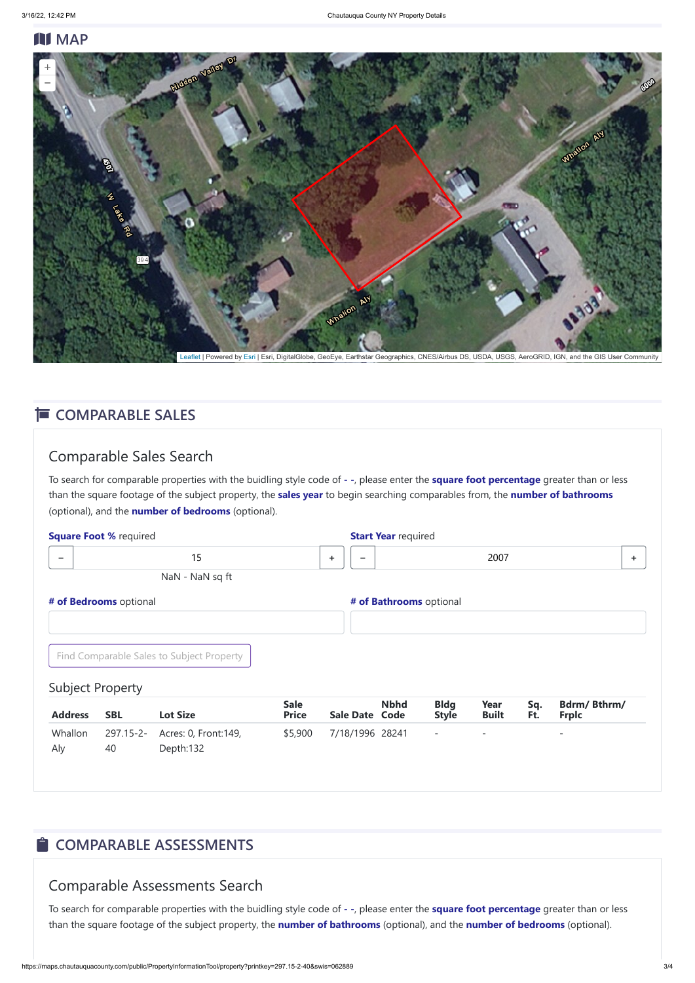#### **N** MAP

#### Comparable Sales Search

| <b>Square Foot % required</b> |                         |                                           |                             |   | <b>Start Year required</b>           |                             |                      |            |                                    |    |
|-------------------------------|-------------------------|-------------------------------------------|-----------------------------|---|--------------------------------------|-----------------------------|----------------------|------------|------------------------------------|----|
| $\overline{\phantom{0}}$      |                         | 15                                        |                             | ÷ |                                      |                             | 2007                 |            |                                    | ÷. |
|                               |                         | NaN - NaN sq ft                           |                             |   |                                      |                             |                      |            |                                    |    |
|                               | # of Bedrooms optional  |                                           |                             |   | # of Bathrooms optional              |                             |                      |            |                                    |    |
|                               |                         | Find Comparable Sales to Subject Property |                             |   |                                      |                             |                      |            |                                    |    |
|                               | <b>Subject Property</b> |                                           |                             |   |                                      |                             |                      |            |                                    |    |
| <b>Address</b>                | <b>SBL</b>              | <b>Lot Size</b>                           | <b>Sale</b><br><b>Price</b> |   | <b>Nbhd</b><br><b>Sale Date Code</b> | <b>Bldg</b><br><b>Style</b> | Year<br><b>Built</b> | Sq.<br>Ft. | <b>Bdrm/Bthrm/</b><br><b>Frplc</b> |    |
| Whallon                       | $297.15 - 2 -$          | Acres: 0, Front: 149,                     | \$5,900                     |   | 7/18/1996 28241                      | $\overline{\phantom{a}}$    |                      |            |                                    |    |

To search for comparable properties with the buidling style code of **- -**, please enter the **square foot percentage** greater than or less than the square footage of the subject property, the **sales year** to begin searching comparables from, the **number of bathrooms** (optional), and the **number of bedrooms** (optional).

## $\hat{\blacksquare}$  **COMPARABLE ASSESSMENTS**

#### Comparable Assessments Search

To search for comparable properties with the buidling style code of **- -**, please enter the **square foot percentage** greater than or less than the square footage of the subject property, the **number of bathrooms** (optional), and the **number of bedrooms** (optional).



[Leaflet](http://leafletjs.com/) | Powered by [Esri](https://www.esri.com/) | Esri, DigitalGlobe, GeoEye, Earthstar Geographics, CNES/Airbus DS, USDA, USGS, AeroGRID, IGN, and the GIS User Community

#### **E** COMPARABLE SALES